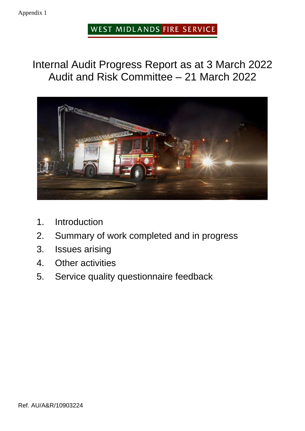#### Appendix 1

## WEST MIDLANDS FIRE SERVICE

# Internal Audit Progress Report as at 3 March 2022 Audit and Risk Committee – 21 March 2022



- 1. Introduction
- 2. Summary of work completed and in progress
- 3. Issues arising
- 4. Other activities
- 5. Service quality questionnaire feedback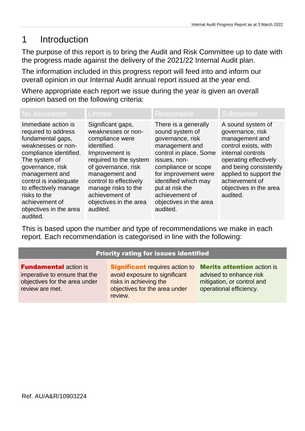# 1 Introduction

The purpose of this report is to bring the Audit and Risk Committee up to date with the progress made against the delivery of the 2021/22 Internal Audit plan.

The information included in this progress report will feed into and inform our overall opinion in our Internal Audit annual report issued at the year end.

Where appropriate each report we issue during the year is given an overall opinion based on the following criteria:

| No Assurance                                                                                                                                                                                                                                                                                     | Limited                                                                                                                                                                                                                                                                 | <b>Reasonable</b>                                                                                                                                                                                                                                                         | <b>Substantial</b>                                                                                                                                                                                                                        |
|--------------------------------------------------------------------------------------------------------------------------------------------------------------------------------------------------------------------------------------------------------------------------------------------------|-------------------------------------------------------------------------------------------------------------------------------------------------------------------------------------------------------------------------------------------------------------------------|---------------------------------------------------------------------------------------------------------------------------------------------------------------------------------------------------------------------------------------------------------------------------|-------------------------------------------------------------------------------------------------------------------------------------------------------------------------------------------------------------------------------------------|
| Immediate action is<br>required to address<br>fundamental gaps,<br>weaknesses or non-<br>compliance identified.<br>The system of<br>governance, risk<br>management and<br>control is inadequate<br>to effectively manage<br>risks to the<br>achievement of<br>objectives in the area<br>audited. | Significant gaps,<br>weaknesses or non-<br>compliance were<br>identified.<br>Improvement is<br>required to the system<br>of governance, risk<br>management and<br>control to effectively<br>manage risks to the<br>achievement of<br>objectives in the area<br>audited. | There is a generally<br>sound system of<br>governance, risk<br>management and<br>control in place. Some<br>issues, non-<br>compliance or scope<br>for improvement were<br>identified which may<br>put at risk the<br>achievement of<br>objectives in the area<br>audited. | A sound system of<br>governance, risk<br>management and<br>control exists, with<br>internal controls<br>operating effectively<br>and being consistently<br>applied to support the<br>achievement of<br>objectives in the area<br>audited. |

This is based upon the number and type of recommendations we make in each report. Each recommendation is categorised in line with the following:

#### Priority rating for issues identified

**Fundamental action is** imperative to ensure that the objectives for the area under review are met.

**Significant** requires action to avoid exposure to significant risks in achieving the objectives for the area under review.

**Merits attention action is.** advised to enhance risk mitigation, or control and operational efficiency.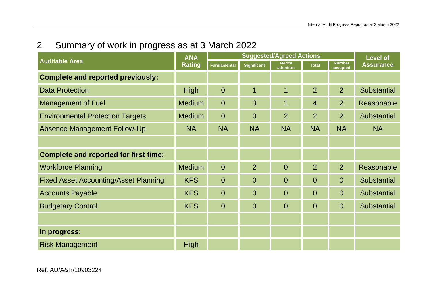2 Summary of work in progress as at 3 March 2022

|                                              | <b>ANA</b><br><b>Rating</b> | <b>Suggested/Agreed Actions</b> |                    |                            |                | <b>Level of</b>           |                    |
|----------------------------------------------|-----------------------------|---------------------------------|--------------------|----------------------------|----------------|---------------------------|--------------------|
| <b>Auditable Area</b>                        |                             | <b>Fundamental</b>              | <b>Significant</b> | <b>Merits</b><br>attention | <b>Total</b>   | <b>Number</b><br>accepted | <b>Assurance</b>   |
| <b>Complete and reported previously:</b>     |                             |                                 |                    |                            |                |                           |                    |
| <b>Data Protection</b>                       | <b>High</b>                 | $\mathbf 0$                     | 1                  | 1                          | $\overline{2}$ | 2                         | <b>Substantial</b> |
| <b>Management of Fuel</b>                    | <b>Medium</b>               | $\overline{0}$                  | 3                  | 1                          | $\overline{4}$ | $\overline{2}$            | Reasonable         |
| <b>Environmental Protection Targets</b>      | <b>Medium</b>               | $\overline{0}$                  | $\overline{0}$     | $\overline{2}$             | $\overline{2}$ | 2                         | <b>Substantial</b> |
| <b>Absence Management Follow-Up</b>          | <b>NA</b>                   | <b>NA</b>                       | <b>NA</b>          | <b>NA</b>                  | <b>NA</b>      | <b>NA</b>                 | <b>NA</b>          |
|                                              |                             |                                 |                    |                            |                |                           |                    |
| <b>Complete and reported for first time:</b> |                             |                                 |                    |                            |                |                           |                    |
| <b>Workforce Planning</b>                    | <b>Medium</b>               | $\overline{0}$                  | $\overline{2}$     | $\overline{0}$             | $\overline{2}$ | 2                         | Reasonable         |
| <b>Fixed Asset Accounting/Asset Planning</b> | <b>KFS</b>                  | $\overline{0}$                  | $\overline{0}$     | $\overline{0}$             | $\overline{0}$ | $\overline{0}$            | <b>Substantial</b> |
| <b>Accounts Payable</b>                      | <b>KFS</b>                  | $\overline{0}$                  | $\overline{0}$     | $\overline{0}$             | $\overline{0}$ | $\overline{0}$            | <b>Substantial</b> |
| <b>Budgetary Control</b>                     | <b>KFS</b>                  | $\overline{0}$                  | $\Omega$           | $\overline{0}$             | $\overline{0}$ | $\Omega$                  | <b>Substantial</b> |
|                                              |                             |                                 |                    |                            |                |                           |                    |
| In progress:                                 |                             |                                 |                    |                            |                |                           |                    |
| <b>Risk Management</b>                       | <b>High</b>                 |                                 |                    |                            |                |                           |                    |

Ref. AU/A&R/10903224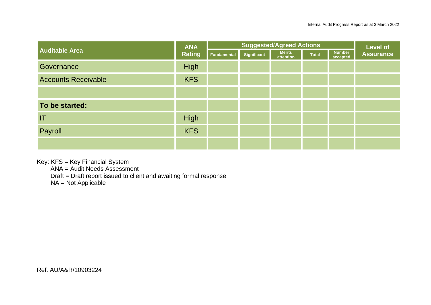|                            | <b>ANA</b>    | <b>Suggested/Agreed Actions</b> |             |                            |       | <b>Level of</b>           |                  |
|----------------------------|---------------|---------------------------------|-------------|----------------------------|-------|---------------------------|------------------|
| <b>Auditable Area</b>      | <b>Rating</b> | <b>Fundamental</b>              | Significant | <b>Merits</b><br>attention | Total | <b>Number</b><br>accepted | <b>Assurance</b> |
| Governance                 | High          |                                 |             |                            |       |                           |                  |
| <b>Accounts Receivable</b> | <b>KFS</b>    |                                 |             |                            |       |                           |                  |
|                            |               |                                 |             |                            |       |                           |                  |
| To be started:             |               |                                 |             |                            |       |                           |                  |
| IT                         | <b>High</b>   |                                 |             |                            |       |                           |                  |
| Payroll                    | <b>KFS</b>    |                                 |             |                            |       |                           |                  |
|                            |               |                                 |             |                            |       |                           |                  |

Key: KFS = Key Financial System

ANA = Audit Needs Assessment

Draft = Draft report issued to client and awaiting formal response

NA = Not Applicable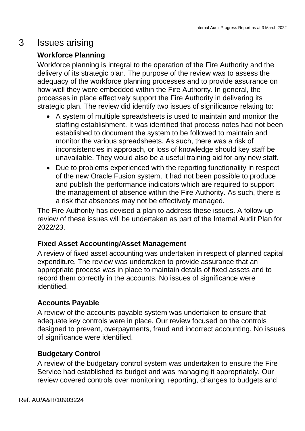## 3 Issues arising

### **Workforce Planning**

Workforce planning is integral to the operation of the Fire Authority and the delivery of its strategic plan. The purpose of the review was to assess the adequacy of the workforce planning processes and to provide assurance on how well they were embedded within the Fire Authority. In general, the processes in place effectively support the Fire Authority in delivering its strategic plan. The review did identify two issues of significance relating to:

- A system of multiple spreadsheets is used to maintain and monitor the staffing establishment. It was identified that process notes had not been established to document the system to be followed to maintain and monitor the various spreadsheets. As such, there was a risk of inconsistencies in approach, or loss of knowledge should key staff be unavailable. They would also be a useful training aid for any new staff.
- Due to problems experienced with the reporting functionality in respect of the new Oracle Fusion system, it had not been possible to produce and publish the performance indicators which are required to support the management of absence within the Fire Authority. As such, there is a risk that absences may not be effectively managed.

The Fire Authority has devised a plan to address these issues. A follow-up review of these issues will be undertaken as part of the Internal Audit Plan for 2022/23.

#### **Fixed Asset Accounting/Asset Management**

A review of fixed asset accounting was undertaken in respect of planned capital expenditure. The review was undertaken to provide assurance that an appropriate process was in place to maintain details of fixed assets and to record them correctly in the accounts. No issues of significance were identified.

#### **Accounts Payable**

A review of the accounts payable system was undertaken to ensure that adequate key controls were in place. Our review focused on the controls designed to prevent, overpayments, fraud and incorrect accounting. No issues of significance were identified.

#### **Budgetary Control**

A review of the budgetary control system was undertaken to ensure the Fire Service had established its budget and was managing it appropriately. Our review covered controls over monitoring, reporting, changes to budgets and